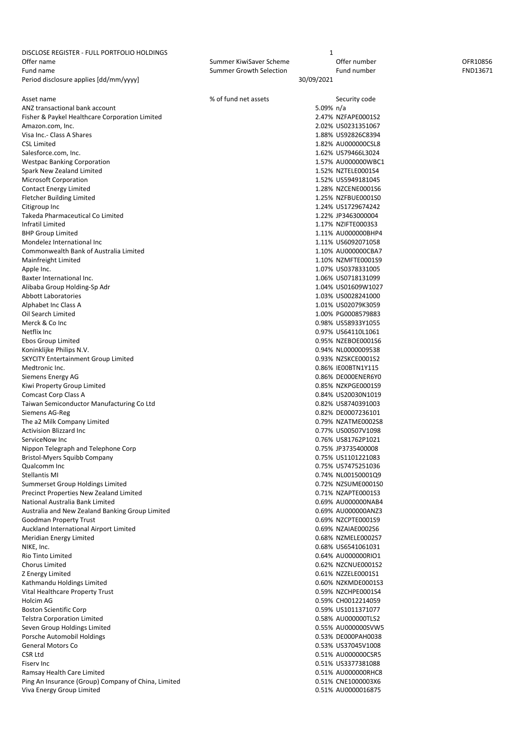| DISCLOSE REGISTER - FULL PORTFOLIO HOLDINGS         |                                | 1          |                    |          |
|-----------------------------------------------------|--------------------------------|------------|--------------------|----------|
| Offer name                                          | Summer KiwiSaver Scheme        |            | Offer number       | OFR10856 |
| Fund name                                           | <b>Summer Growth Selection</b> |            | Fund number        | FND13671 |
| Period disclosure applies [dd/mm/yyyy]              |                                | 30/09/2021 |                    |          |
|                                                     |                                |            |                    |          |
| Asset name                                          | % of fund net assets           |            | Security code      |          |
|                                                     |                                |            |                    |          |
| ANZ transactional bank account                      |                                | 5.09% n/a  |                    |          |
| Fisher & Paykel Healthcare Corporation Limited      |                                |            | 2.47% NZFAPE0001S2 |          |
| Amazon.com, Inc.                                    |                                |            | 2.02% US0231351067 |          |
| Visa Inc.- Class A Shares                           |                                |            | 1.88% US92826C8394 |          |
| <b>CSL Limited</b>                                  |                                |            | 1.82% AU000000CSL8 |          |
| Salesforce.com, Inc.                                |                                |            | 1.62% US79466L3024 |          |
|                                                     |                                |            |                    |          |
| <b>Westpac Banking Corporation</b>                  |                                |            | 1.57% AU000000WBC1 |          |
| Spark New Zealand Limited                           |                                |            | 1.52% NZTELE0001S4 |          |
| Microsoft Corporation                               |                                |            | 1.52% US5949181045 |          |
| <b>Contact Energy Limited</b>                       |                                |            | 1.28% NZCENE0001S6 |          |
| <b>Fletcher Building Limited</b>                    |                                |            | 1.25% NZFBUE0001S0 |          |
| Citigroup Inc                                       |                                |            | 1.24% US1729674242 |          |
|                                                     |                                |            |                    |          |
| Takeda Pharmaceutical Co Limited                    |                                |            | 1.22% JP3463000004 |          |
| Infratil Limited                                    |                                |            | 1.17% NZIFTE0003S3 |          |
| <b>BHP Group Limited</b>                            |                                |            | 1.11% AU000000BHP4 |          |
| Mondelez International Inc                          |                                |            | 1.11% US6092071058 |          |
| Commonwealth Bank of Australia Limited              |                                |            | 1.10% AU000000CBA7 |          |
| Mainfreight Limited                                 |                                |            |                    |          |
|                                                     |                                |            | 1.10% NZMFTE0001S9 |          |
| Apple Inc.                                          |                                |            | 1.07% US0378331005 |          |
| Baxter International Inc.                           |                                |            | 1.06% US0718131099 |          |
| Alibaba Group Holding-Sp Adr                        |                                |            | 1.04% US01609W1027 |          |
| <b>Abbott Laboratories</b>                          |                                |            | 1.03% US0028241000 |          |
| Alphabet Inc Class A                                |                                |            | 1.01% US02079K3059 |          |
|                                                     |                                |            |                    |          |
| Oil Search Limited                                  |                                |            | 1.00% PG0008579883 |          |
| Merck & Co Inc                                      |                                |            | 0.98% US58933Y1055 |          |
| Netflix Inc                                         |                                |            | 0.97% US64110L1061 |          |
| Ebos Group Limited                                  |                                |            | 0.95% NZEBOE0001S6 |          |
| Koninklijke Philips N.V.                            |                                |            | 0.94% NL0000009538 |          |
| <b>SKYCITY Entertainment Group Limited</b>          |                                |            | 0.93% NZSKCE0001S2 |          |
|                                                     |                                |            |                    |          |
| Medtronic Inc.                                      |                                |            | 0.86% IE00BTN1Y115 |          |
| Siemens Energy AG                                   |                                |            | 0.86% DE000ENER6Y0 |          |
| Kiwi Property Group Limited                         |                                |            | 0.85% NZKPGE0001S9 |          |
| Comcast Corp Class A                                |                                |            | 0.84% US20030N1019 |          |
| Taiwan Semiconductor Manufacturing Co Ltd           |                                |            | 0.82% US8740391003 |          |
|                                                     |                                |            |                    |          |
| Siemens AG-Reg                                      |                                |            | 0.82% DE0007236101 |          |
| The a2 Milk Company Limited                         |                                |            | 0.79% NZATME0002S8 |          |
| <b>Activision Blizzard Inc</b>                      |                                |            | 0.77% US00507V1098 |          |
| ServiceNow Inc                                      |                                |            | 0.76% US81762P1021 |          |
| Nippon Telegraph and Telephone Corp                 |                                |            | 0.75% JP3735400008 |          |
| Bristol-Myers Squibb Company                        |                                |            | 0.75% US1101221083 |          |
|                                                     |                                |            |                    |          |
| Qualcomm Inc                                        |                                |            | 0.75% US7475251036 |          |
| <b>Stellantis MI</b>                                |                                |            | 0.74% NL00150001Q9 |          |
| Summerset Group Holdings Limited                    |                                |            | 0.72% NZSUME0001S0 |          |
| Precinct Properties New Zealand Limited             |                                |            | 0.71% NZAPTE0001S3 |          |
| National Australia Bank Limited                     |                                |            | 0.69% AU000000NAB4 |          |
| Australia and New Zealand Banking Group Limited     |                                |            | 0.69% AU000000ANZ3 |          |
|                                                     |                                |            |                    |          |
| Goodman Property Trust                              |                                |            | 0.69% NZCPTE0001S9 |          |
| Auckland International Airport Limited              |                                |            | 0.69% NZAIAE0002S6 |          |
| Meridian Energy Limited                             |                                |            | 0.68% NZMELE0002S7 |          |
| NIKE, Inc.                                          |                                |            | 0.68% US6541061031 |          |
| Rio Tinto Limited                                   |                                |            | 0.64% AU000000RIO1 |          |
| Chorus Limited                                      |                                |            |                    |          |
|                                                     |                                |            | 0.62% NZCNUE0001S2 |          |
| Z Energy Limited                                    |                                |            | 0.61% NZZELE0001S1 |          |
| Kathmandu Holdings Limited                          |                                |            | 0.60% NZKMDE0001S3 |          |
| Vital Healthcare Property Trust                     |                                |            | 0.59% NZCHPE0001S4 |          |
| Holcim AG                                           |                                |            | 0.59% CH0012214059 |          |
| <b>Boston Scientific Corp</b>                       |                                |            | 0.59% US1011371077 |          |
|                                                     |                                |            |                    |          |
| <b>Telstra Corporation Limited</b>                  |                                |            | 0.58% AU000000TLS2 |          |
| Seven Group Holdings Limited                        |                                |            | 0.55% AU000000SVW5 |          |
| Porsche Automobil Holdings                          |                                |            | 0.53% DE000PAH0038 |          |
| <b>General Motors Co</b>                            |                                |            | 0.53% US37045V1008 |          |
| CSR Ltd                                             |                                |            | 0.51% AU000000CSR5 |          |
|                                                     |                                |            |                    |          |
| Fisery Inc                                          |                                |            | 0.51% US3377381088 |          |
| Ramsay Health Care Limited                          |                                |            | 0.51% AU000000RHC8 |          |
| Ping An Insurance (Group) Company of China, Limited |                                |            | 0.51% CNE1000003X6 |          |
| Viva Energy Group Limited                           |                                |            | 0.51% AU0000016875 |          |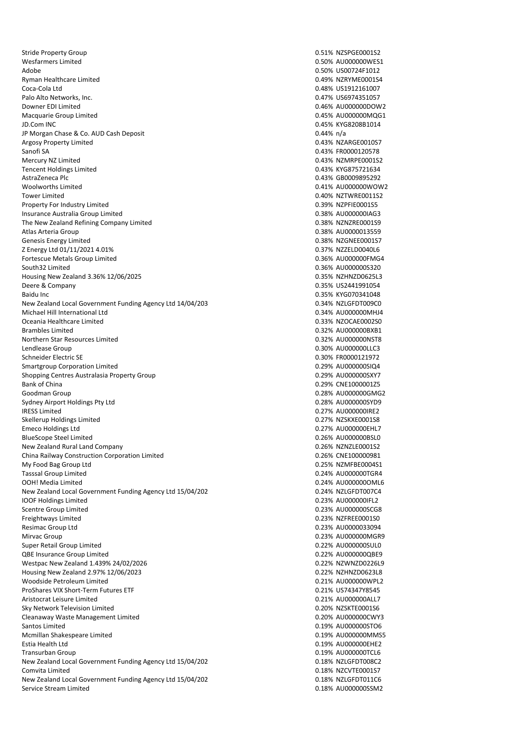Stride Property Group 0.51% NZSPGE0001S2 Wesfarmers Limited 0.50% AU000000WES1 Adobe 0.50% US00724F1012 Ryman Healthcare Limited **Contract Contract Contract Contract Contract Contract Contract Contract Contract Contract Contract Contract Contract Contract Contract Contract Contract Contract Contract Contract Contract Contrac** Coca-Cola Ltd 0.48% US1912161007 Palo Alto Networks, Inc. 2008 and 2009 and 2009 and 2009 and 2009 and 2009 and 2009 and 2009 and 2009 and 2009  $\alpha$ Downer EDI Limited 0.46% AU000000DOW2 Macquarie Group Limited JD.Com INC 0.45% KYG8208B1014 JP Morgan Chase & Co. AUD Cash Deposit 0.44% n/a Argosy Property Limited **Argosy Property Limited** 6.43% NZARGE0010S7 Sanofi SA 0.43% FR0000120578 Tencent Holdings Limited **1.43% KYG875721634** AstraZeneca Plc 0.43% GB0009895292 Woolworths Limited 0.41% AU000000WOW2 Tower Limited 0.40% NZTWRE0011S2 Property For Industry Limited **1.2000** Control 1.000 Magnetic Control of the United Control 1.39% NZPFIE000155 Insurance Australia Group Limited **0.38% AU000000IAG3** The New Zealand Refining Company Limited 0.38% NZNZRE0001S9 Atlas Arteria Group 0.38% AU0000013559 Genesis Energy Limited **6.28% N2GNEE0001S7 CONSIDENT CONSIDERING CONSIDERING CONSIDERING CONSIDERING CONSIDERING CONSIDERING CONSIDERING CONSIDERING CONSIDERING CONSIDERING CONSIDERING CONSIDERING CONSIDERING CONSIDERING** Z Energy Ltd 01/11/2021 4.01% 0.37% NZZELD0040L6 Fortescue Metals Group Limited 0.36% AU000000FMG4 South32 Limited 0.36% AU000000S320 Housing New Zealand 3.36% 12/06/2025 0.35% NZHNZD0625L3 Deere & Company 0.35% US2441991054 Baidu Inc 0.35% KYG070341048 New Zealand Local Government Funding Agency Ltd 14/04/203 3.500 1.500 1.500 1.54% NZLGFDT009C0 Michael Hill International Ltd 0.34% AU000000MHJ4 Oceania Healthcare Limited 0.33% NZOCAE0002S0 Brambles Limited 0.32% AU000000BXB1 Northern Star Resources Limited 0.32% AU000000NST8 Lendlease Group 0.30% AU000000LLC3 Smartgroup Corporation Limited **0.29% AU000000SIQ4** Shopping Centres Australasia Property Group 0.29% AU00000000 AV7 Bank of China 0.29% CNE1000001Z5 Goodman Group 0.28% AU000000GMG2<br>Sydney Airport Holdings Pty Ltd<br>0.28% AU000000SYD9 Sydney Airport Holdings Pty Ltd IRESS Limited 0.27% AU000000IRE2 Skellerup Holdings Limited 0.27% NZSKXE0001S8 Emeco Holdings Ltd **2.27% AU000000EHL7** BlueScope Steel Limited and Controller and Controller and Controller and Controller and Controller and Controller and Controller and Controller and Controller and Controller and Controller and Controller and Controller and New Zealand Rural Land Company 0.26% NZNZLE0001S2 China Railway Construction Corporation Limited 0.26% CNE100000981 My Food Bag Group Ltd 0.25% NZMFBE0004S1 Tasssal Group Limited 0.24% AU000000TGR4 OOH! Media Limited 0.24% AU000000OML6 New Zealand Local Government Funding Agency Ltd 15/04/202<br>
1.500 March 2020 4.500 March 2020 4.500 March 2020 4.500 March 2020 4.500 March 2020 4.500 March 2020 4.500 March 2020 4.500 March 2020 4.500 March 2020 4.500 Marc IOOF Holdings Limited 0.23% AU000000IFL2 Scentre Group Limited and Scentre Group Limited and Scentre Group Limited and Scentre Group Limited and Scentre G<br>
Scentre Group Limited and Scentre Control of the Scenetre Control of the Scenetre Control of the Scenetre C Freightways Limited Resimac Group Ltd 0.23% AU0000033094 Mirvac Group 0.23% AU000000MGR9 Super Retail Group Limited **0.22% AU000000SUL0** QBE Insurance Group Limited **0.22% AU000000QBE9** Westpac New Zealand 1.439% 24/02/2026 0.22% NZWNZD0226L9 Housing New Zealand 2.97% 12/06/2023 0.22% NZHNZD0623L8 Woodside Petroleum Limited 0.21% AU000000WPL2 ProShares VIX Short-Term Futures ETF and the state of the state of the control of the US74347Y8545<br>Aristocrat Leisure Limited and the control of the control of the control of the control of the control of the c Aristocrat Leisure Limited Sky Network Television Limited **Containers and Containers and Containers and Containers and Containers and Containers and Containers and Containers and Containers and Containers and Containers and Containers and Containers** Cleanaway Waste Management Limited 0.20% AU000000CWY3 Santos Limited 0.19% AU000000STO6 Mcmillan Shakespeare Limited **0.19% AU000000MMS5** Estia Health Ltd 0.19% AU000000EHE2 Transurban Group 2012 12:00 12:00 12:00 12:00 12:00 12:00 12:00 12:00 12:00 12:00 12:00 12:00 12:00 12:00 12:0 New Zealand Local Government Funding Agency Ltd 15/04/202 1.75% 0.18% NZLGFDT008C2 Comvita Limited 0.18% NZCVTE0001S7 New Zealand Local Government Funding Agency Ltd 15/04/202<br>
2.18% NZLGFDT011C6 Service Stream Limited **6.18% AU000000SSM2** 

0.43% NZMRPE0001S2 0.30% FR0000121972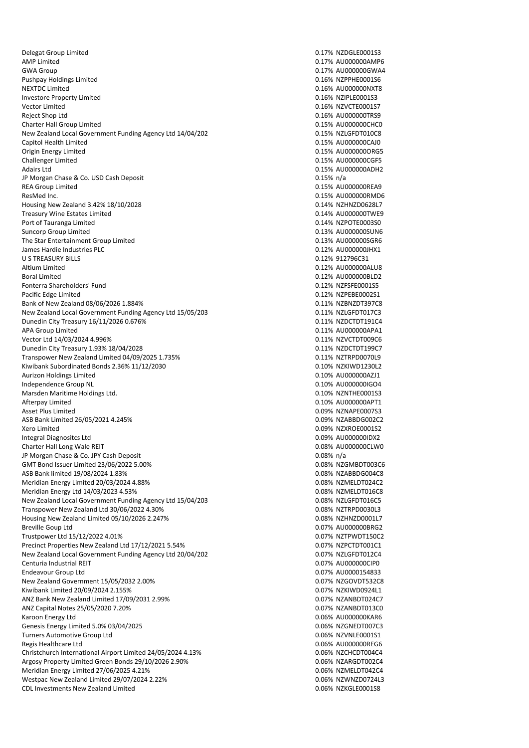Delegat Group Limited 0.17% NZDGLE0001S3 AMP Limited 0.17% AU000000AMP6 Pushpay Holdings Limited **Department Controller Controller Controller Controller Controller Controller Controller Controller Controller Controller Controller Controller Controller Controller Controller Controller Controlle** NEXTDC Limited 0.16% AU000000NXT8 Investore Property Limited 0.16% NZIPLE0001S3 Vector Limited 0.16% NZVCTE0001S7 Reject Shop Ltd 0.16% AU000000TRS9 Charter Hall Group Limited **Charter Hall Group Limited** 0.15% AU000000CHC0 New Zealand Local Government Funding Agency Ltd 14/04/202 <br>
2.15% NZLGFDT010C8 Capitol Health Limited 0.15% AU000000CAJ0 Origin Energy Limited 0.15% AU000000ORG5 Challenger Limited 0.15% AU000000CGF5 Adairs Ltd 0.15% AU000000ADH2 JP Morgan Chase & Co. USD Cash Deposit 0.15% n/a REA Group Limited **Calculation Controllering Calculation** Calculation Calculation Calculation Calculation Calculation Calculation Calculation Calculation Calculation Calculation Calculation Calculation Calculation Calculat ResMed Inc. 2015 2016 2017 2018 2019 2017 2018 2019 2019 2017 2018 2019 2019 2017 2018 2019 2019 2019 2019 201 Housing New Zealand 3.42% 18/10/2028 0.14% N2HNZD0628L7 Treasury Wine Estates Limited **1.14% AU000000TWE9** Port of Tauranga Limited **Department of Tauranga Limited** 0.14% NZPOTE0003S0 Suncorp Group Limited **0.13% AU000000SUN6** The Star Entertainment Group Limited **Calcular Control Control Control Control Control Control Control Control Control Control Control Control Control Control Control Control Control Control Control Control Control Control** James Hardie Industries PLC 0.12% AU000000JHX1 U S TREASURY BILLS 0.12% 912796C31 Altium Limited 0.12% AU00000ALU8 Boral Limited 0.12% AU000000BLD2 Fonterra Shareholders' Fund 0.12% NZFSFE0001S5 Pacific Edge Limited **0.12% N2PEBE0002S1** Bank of New Zealand 08/06/2026 1.884% 0.11% N2BNZDT397C8 New Zealand Local Government Funding Agency Ltd 15/05/203 1.25% 0.11% NZLGFDT017C3 Dunedin City Treasury 16/11/2026 0.676% 0.11% NZDCTDT191C4 APA Group Limited **APA Group Limited** 2.11% AU000000APA1 Vector Ltd 14/03/2024 4.996% 0.11% National Decision of the USA of the USA of the USA of the USA of the USA of the USA of the USA of the USA of the USA of the USA of the USA of the USA of the USA of the USA of the USA of t Dunedin City Treasury 1.93% 18/04/2028<br>
Transpower New Zealand Limited 04/09/2025 1.735%<br>
0.11% NZTRPD0070L9 Transpower New Zealand Limited 04/09/2025 1.735% Kiwibank Subordinated Bonds 2.36% 11/12/2030 0.10% 0.10% NZKIWD1230L2 Aurizon Holdings Limited **Automatic Except Control** Control of the Control O.10% AU000000AZJ1 Independence Group NL 0.10% AU000000IGO4 Marsden Maritime Holdings Ltd. 0.10% NZNTHE0001S3 Afterpay Limited 0.10% AU000000APT1 Asset Plus Limited **2.000 and 2.000 and 2.000 and 2.000 and 2.000 and 2.000 and 2.000 and 2.000 and 2.000 and 2.000 and 2.000 and 2.000 and 2.000 and 2.000 and 2.000 and 2.000 and 2.000 and 2.000 and 2.000 and 2.000 and 2.** ASB Bank Limited 26/05/2021 4.245% 0.09% NZABBDG002C2 Xero Limited 0.09% NZXROE0001S2 Integral Diagnositcs Ltd 0.09% AU000000IDX2 Charter Hall Long Wale REIT 0.08% AU000000CLW0 JP Morgan Chase & Co. JPY Cash Deposit 0.08% n/a<br>
GMT Bond Issuer Limited 23/06/2022 5.00% 0.08% n/a compared 0.08% n/a compared 0.08% n/a compared 0.08% n/a c GMT Bond Issuer Limited 23/06/2022 5.00% 0.08% 0.08% NZGMBDT003C6<br>ASB Bank limited 19/08/2024 1.83% 0.08% 0.08% NZABBDG004C8 ASB Bank limited 19/08/2024 1.83% Meridian Energy Limited 20/03/2024 4.88% 0.08% 0.08% NZMELDT024C2 Meridian Energy Ltd 14/03/2023 4.53% 0.08% NZMELDT016C8 New Zealand Local Government Funding Agency Ltd 15/04/203<br>The manufacture of the CO208 NZLGFDT016C5 Transpower New Zealand Ltd 30/06/2022 4.30% 0.08% 0.08% NZTRPD0030L3<br>
Housing New Zealand Limited 05/10/2026 2.247% 0.08% 0.08% 0.08% 0.08% 0.08% 0.08% 0.08% 0.08% 0.08% 0.08% 0.0 Housing New Zealand Limited 05/10/2026 2.247% Breville Goup Ltd **Breville Goup Ltd** 0.07% AU000000BRG2 Trustpower Ltd 15/12/2022 4.01% 0.07% NZTPWDT150C2 Precinct Properties New Zealand Ltd 17/12/2021 5.54% 0.07% 0.07% NZPCTDT001C1 New Zealand Local Government Funding Agency Ltd 20/04/202 1.50% 1.50% 0.07% NZLGFDT012C4 Centuria Industrial REIT Centuria Industrial REIT Centuria Industrial REIT Centuria Industrial REIT Endeavour Group Ltd 0.07% AU0000154833 New Zealand Government 15/05/2032 2.00% 0.07% NZGOVDT532C8 Kiwibank Limited 20/09/2024 2.155% 0.07% NZKIWD0924L1<br>ANZ Bank New Zealand Limited 17/09/2031 2.99% 0.07% 0.07% NZANBDT024C7 ANZ Bank New Zealand Limited 17/09/2031 2.99% ANZ Capital Notes 25/05/2020 7.20% 0.07% NZANBDT013C0 Karoon Energy Ltd **6.06% AU00000000 CONSUMER** Genesis Energy Limited 5.0% 03/04/2025 0.06% NZGNEDT007C3 Turners Automotive Group Ltd 0.06% NZVNLE0001S1 Regis Healthcare Ltd 0.06% AU000000REG6 Christchurch International Airport Limited 24/05/2024 4.13% 0.06% NZCHCDT004C4 Argosy Property Limited Green Bonds 29/10/2026 2.90% 0.06% 0.06% NZARGDT002C4 Meridian Energy Limited 27/06/2025 4.21% 0.06% N2MELDT042C4 Westpac New Zealand Limited 29/07/2024 2.22% 0.06% 0.06% NZWNZD0724L3 CDL Investments New Zealand Limited **CDL Investments New Zealand Limited** 0.06% NZKGLE0001S8

0.17% AU000000GWA4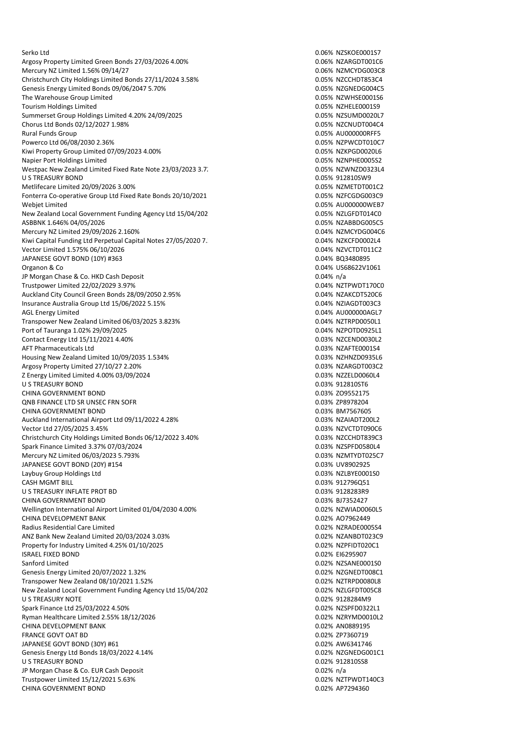Serko Ltd 0.06% NZSKOE0001S7 Argosy Property Limited Green Bonds 27/03/2026 4.00% 0.06% 0.06% NZARGDT001C6 Mercury NZ Limited 1.56% 09/14/27 0.06% NZMCYDG003C8 Christchurch City Holdings Limited Bonds 27/11/2024 3.58% 0.05% 0.05% NZCCHDT853C4 Genesis Energy Limited Bonds 09/06/2047 5.70% 0.05% 0.05% NZGNEDG004C5 The Warehouse Group Limited **Canadian Control of the Case of the Control of the Control of the Control of the Control of the Control of the Control of the Control of the Control of the Control of the Control of the Control** Tourism Holdings Limited<br>
Summerset Group Holdings Limited 4.20% 24/09/2025<br>
Summerset Group Holdings Limited 4.20% 24/09/2025 Summerset Group Holdings Limited 4.20% 24/09/2025 Chorus Ltd Bonds 02/12/2027 1.98% 0.05% NZCNUDT004C4 Rural Funds Group 0.05% AU000000RFF5 Powerco Ltd 06/08/2030 2.36% 0.05% N2PWCDT010C7 Kiwi Property Group Limited 07/09/2023 4.00% 0.05% NZKPGD0020L6<br>Napier Port Holdings Limited 07/09/2023 4.00% 0.05% NZMPHE000552 Napier Port Holdings Limited Westpac New Zealand Limited Fixed Rate Note 23/03/2023 3.72% 0.05% NZWNZD0323L4 U S TREASURY BOND 0.05% 912810SW9 Metlifecare Limited 20/09/2026 3.00% 0.05% 0.05% NZMETDT001C2 Fonterra Co-operative Group Ltd Fixed Rate Bonds 20/10/2021 4.33% 0.05% NZFCGDG003C9 Webjet Limited **2.05% AU000000WEB7** 2.05% AU000000WEB7 New Zealand Local Government Funding Agency Ltd 15/04/202 1.500 1.500 1.500 1.500 1.500 1.500 1.500 1.500 1.500 1.500 1.500 1.500 1.500 1.500 1.500 1.500 1.500 1.500 1.500 1.500 1.500 1.500 1.500 1.500 1.500 1.500 1.500 1. ASBBNK 1.646% 04/05/2026 0.05% NZABBDG005C5 Mercury NZ Limited 29/09/2026 2.160% 0.04% NZMCYDG004C6 Kiwi Capital Funding Ltd Perpetual Capital Notes 27/05/2020 7. <br>
0.04% NZKCFD0002L4 Vector Limited 1.575% 06/10/2026 0.04% N2VCTDT011C2 JAPANESE GOVT BOND (10Y) #363 0.04% BQ3480895 Organon & Co 0.04% US68622V1061 JP Morgan Chase & Co. HKD Cash Deposit  $0.04\%$  n/a<br>Trustnower Limited 22/02/2029 3.97% and a structure of the control of the control of the control of the control of the control of the control of the control of the contro Trustpower Limited 22/02/2029 3.97% Auckland City Council Green Bonds 28/09/2050 2.95% 0.04% 0.04% 0.04% NZAKCDT520C6 Insurance Australia Group Ltd 15/06/2022 5.15% 0.04% 0.04% NZIAGDT003C3 AGL Energy Limited 0.04% AU000000AGL7 Transpower New Zealand Limited 06/03/2025 3.823% 0.04% NZTRPD0050L1 Port of Tauranga 1.02% 29/09/2025 0.04% NZPOTD0925L1 Contact Energy Ltd 15/11/2021 4.40% 0.03% NZCEND0030L2 AFT Pharmaceuticals Ltd<br>
Housing New Zealand Limited 10/09/2035 1.534% <br>
O.03% NZHNZD0935L6 Housing New Zealand Limited 10/09/2035 1.534% Argosy Property Limited 27/10/27 2.20% 0.03% NZARGDT003C2<br>2 Energy Limited Limited 4 00% 03/09/2024 0.03% 0.03% NZZELD0060L4 Z Energy Limited Limited 4.00% 03/09/2024 U S TREASURY BOND 0.03% 912810ST6 CHINA GOVERNMENT BOND<br>
ONB FINANCE LTD SR UNSEC FRN SOFR
2005 19958204 QNB FINANCE LTD SR UNSEC FRN SOFR CHINA GOVERNMENT BOND **CHINA GOVERNMENT BOND** Auckland International Airport Ltd 09/11/2022 4.28% 0.03% 0.03% NZAIADT200L2 Vector Ltd 27/05/2025 3.45% 0.03% NZVCTDT090C6 Christchurch City Holdings Limited Bonds 06/12/2022 3.40% 0.03% 0.03% NZCCHDT839C3 Spark Finance Limited 3.37% 07/03/2024 0.03% NZSPFD0580L4 Mercury NZ Limited 06/03/2023 5.793% 0.03% NZMTYDT025C7 JAPANESE GOVT BOND (20Y) #154 0.03% UV8902925 Laybuy Group Holdings Ltd 0.03% NZLBYE0001S0 CASH MGMT BILL **CASH MGMT BILL** 2.003% 912796Q51 U S TREASURY INFLATE PROT BD 8 0.03% 9128283R9 CHINA GOVERNMENT BOND 0.03% BJ7352427 Wellington International Airport Limited 01/04/2030 4.00% 0.02% 0.02% NZWIAD0060L5 CHINA DEVELOPMENT BANK 0.02% AO7962449 Radius Residential Care Limited 0.02% NZRADE0005S4 ANZ Bank New Zealand Limited 20/03/2024 3.03% 0.02% NZANBDT023C9 Property for Industry Limited 4.25% 01/10/2025 0.02% NZPFIDT020C1 ISRAEL FIXED BOND 0.02% EI6295907 Sanford Limited 0.02% NZSANE0001S0 Genesis Energy Limited 20/07/2022 1.32% 0.02% 0.02% NZGNEDT008C1 Transpower New Zealand 08/10/2021 1.52% 0.02% 0.02% NZTRPD0080L8 New Zealand Local Government Funding Agency Ltd 15/04/2023 5.50% 0.02% NZLGFDT005C8 U S TREASURY NOTE Spark Finance Ltd 25/03/2022 4.50% 0.02% NZSPFD0322L1 Ryman Healthcare Limited 2.55% 18/12/2026 0.02% NZRYMD0010L2 CHINA DEVELOPMENT BANK 0.02% AN0889195 FRANCE GOVT OAT BD 0.02% ZP7360719 JAPANESE GOVT BOND (30Y) #61 0.02% AW6341746 Genesis Energy Ltd Bonds 18/03/2022 4.14% 0.02% 0.02% NZGNEDG001C1 U S TREASURY BOND 0.02% 912810SS8 JP Morgan Chase & Co. EUR Cash Deposit<br>
Trustpower Limited 15/12/2021 5.63% <br>
O.02% NZTPWDT140C3 Trustpower Limited 15/12/2021 5.63% CHINA GOVERNMENT BOND CHECK CHECK CHINA GOVERNMENT BOND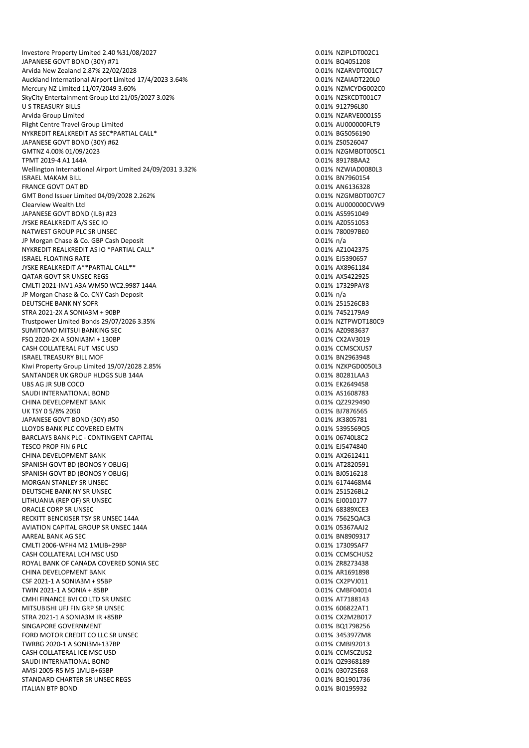Investore Property Limited 2.40 %31/08/2027 0.01 0.01% 0.01% NZIPLDT002C1 JAPANESE GOVT BOND (30Y) #71 0.01% BQ4051208 Arvida New Zealand 2.87% 22/02/2028 0.01% NZARVDT001C7 Auckland International Airport Limited 17/4/2023 3.64% 0.01% NZAIADT220L0 Mercury NZ Limited 11/07/2049 3.60% 0.01% NZMCYDG002C0 SkyCity Entertainment Group Ltd 21/05/2027 3.02% 0.01% 0.01% NZSKCDT001C7 U S TREASURY BILLS **CONTRACT AND INCOMEDIATE CONTRACT ON A SET OF A SET OF A SET OF A SET OF A SET OF A SET OF A SET OF A SET OF A SET OF A SET OF A SET OF A SET OF A SET OF A SET OF A SET OF A SET OF A SET OF A SET OF A S** Arvida Group Limited 0.01% NZARVE0001S5 Flight Centre Travel Group Limited<br>
NYKREDIT REALKREDIT AS SEC\*PARTIAL CALL\*<br>
O 01% BG5056190 NYKREDIT REALKREDIT AS SEC\*PARTIAL CALL\* JAPANESE GOVT BOND (30Y) #62 0.01% ZS0526047 GMTNZ 4.00% 01/09/2023 0.01% NZGMBDT005C1 TPMT 2019-4 A1 144A Wellington International Airport Limited 24/09/2031 3.32% 0.01% 0.01% NZWIAD0080L3 ISRAEL MAKAM BILL 0.01% BN7960154 FRANCE GOVT OAT BD 0.01% AN6136328 GMT Bond Issuer Limited 04/09/2028 2.262% 0.01% 0.01% 0.01% NZGMBDT007C7 Clearview Wealth Ltd 0.01% AU000000CVW9 JAPANESE GOVT BOND (ILB) #23 0.01% AS5951049 JYSKE REALKREDIT A/S SEC IO 0.01% AZ0551053 NATWEST GROUP PLC SR UNSEC **CONSECTED ASSAULT AND A CONSECTED ASSAULT A** CONSECTED A CONSECTED A CONSECTED A CONSECTED A CONSECTED A CONSECTED A CONSECTED A CONSECTED A CONSECTED A CONSECTED A CONSECTED A CONSECTED A CONSE JP Morgan Chase & Co. GBP Cash Deposit 0.01% n/a NYKREDIT REALKREDIT AS IO \*PARTIAL CALL\* 0.01% AZ1042375 ISRAEL FLOATING RATE 0.01% EJ5390657 JYSKE REALKREDIT A\*\*PARTIAL CALL\*\* 0.01% AX8961184 QATAR GOVT SR UNSEC REGS 0.01% AX5422925 CMLTI 2021-INV1 A3A WM50 WC2.9987 144A 0.01 0.01% 17329PAY8 JP Morgan Chase & Co. CNY Cash Deposit 0.01% n/a DEUTSCHE BANK NY SOFR 0.01% 251526CB3 STRA 2021-2X A SONIA3M + 90BP 0.01% 7452179A9 Trustpower Limited Bonds 29/07/2026 3.35% 0.01% NZTPWDT180C9 SUMITOMO MITSUI BANKING SEC 0.01% AZ0983637 FSQ 2020-2X A SONIA3M + 130BP 0.01% CX2AV3019 CASH COLLATERAL FUT MSC USD 0.01% CCMSCXUS7 **ISRAEL TREASURY BILL MOF** Kiwi Property Group Limited 19/07/2028 2.85% 0.01% 0.01% NZKPGD0050L3 SANTANDER UK GROUP HLDGS SUB 144A 0.01% 80281LAA3 UBS AG JR SUB COCO **0.01% EK2649458** SAUDI INTERNATIONAL BOND<br>CHINA DEVELOPMENT BANK CHINA DEVELOPMENT BANK CHINA DEVELOPMENT BANK CHINA DEVELOPMENT BANK CHINA DEVELOPMENT BANK UK TSY 0 5/8% 2050 0.01% BJ7876565 JAPANESE GOVT BOND (30Y) #50 0.01% JK3805781 LLOYDS BANK PLC COVERED EMTN **DESIGNED EMICLOS CONSTRUERED** O.01% 5395569Q5 BARCLAYS BANK PLC - CONTINGENT CAPITAL 0.01 CONTROL 2001 CONTROL 2001 CONTROL 2002 TESCO PROP FIN 6 PLC 8 and the state of the state of the state of the state of the state of the state of the state of the state of the state of the state of the state of the state of the state of the state of the state of CHINA DEVELOPMENT BANK **CHINA DEVELOPMENT BANK COLLECTION COLLECTION COLLECTION COLLECTION COLLECTION COLLECTION COLLECTION COLLECTION COLLECTION COLLECTION COLLECTION COLLECTION COLLECTION COLL** SPANISH GOVT BD (BONOS Y OBLIG) 0.01% AT2820591 SPANISH GOVT BD (BONOS Y OBLIG) MORGAN STANLEY SR UNSEC **CONSECTED A SECURE 2008 CONSECTED** 2008 6174468M4 DEUTSCHE BANK NY SR UNSEC 0.01% 251526BL2 LITHUANIA (REP OF) SR UNSEC **1.2000 PM CONSECTED A CONSECTED A CONSECTED ASSAULT A** CONSECTED A CONSECTED A CONSEC ORACLE CORP SR UNSEC **CORP SALUMENT CONTROL** RECKITT BENCKISER TSY SR UNSEC 144A 0.01% 75625QAC3 AVIATION CAPITAL GROUP SR UNSEC 144A 0.01% 05367AAJ2 AAREAL BANK AG SEC NATURAL BANK AG SEC NATURAL BANK AG SEC NATURAL BANK AG SEC NATURAL BANK BOOSS AT A LIMIT A CMLTI 2006-WFH4 M2 1MLIB+29BP 0.01% 17309SAF7 CASH COLLATERAL LCH MSC USD 0.01% CCMSCHUS2 ROYAL BANK OF CANADA COVERED SONIA SEC<br>
CHINA DEVELOPMENT BANK<br>
CHINA DEVELOPMENT BANK CHINA DEVELOPMENT BANK CSF 2021-1 A SONIA3M + 95BP 0.01% CX2PVJ011 TWIN 2021-1 A SONIA + 85BP 0.01% CMBF04014 CMHI FINANCE BVI CO LTD SR UNSEC MITSUBISHI UFJ FIN GRP SR UNSEC 0.01% 606822AT1 STRA 2021-1 A SONIA3M IR +85BP 0.01% CX2M2B017 SINGAPORE GOVERNMENT **SINGAPORE GOVERNMENT** FORD MOTOR CREDIT CO LLC SR UNSEC 0.01% 345397ZM8 TWRBG 2020-1 A SONI3M+137BP 0.01% CMBI92013 CASH COLLATERAL ICE MSC USD 0.01% CCMSCZUS2 SAUDI INTERNATIONAL BOND CONTROL CONTROL CONTROL CONTROL CONTROL CONTROL CONTROL CONTROL CONTROL CONTROL CONTROL CONTROL CONTROL CONTROL CONTROL CONTROL CONTROL CONTROL CONTROL CONTROL CONTROL CONTROL CONTROL CONTROL CONTR AMSI 2005-R5 M5 1MLIB+65BP 0.01% 03072SE68 STANDARD CHARTER SR UNSEC REGS 6 0.01% BQ1901736 ITALIAN BTP BOND 0.01% BI0195932